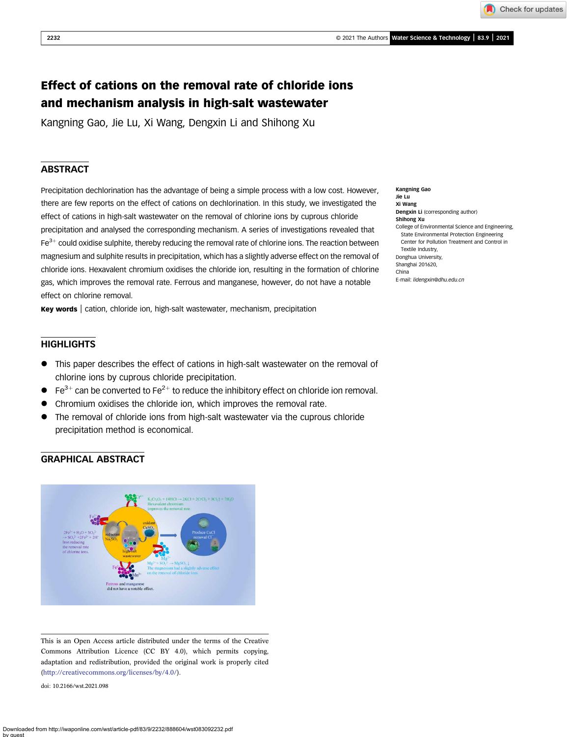Check for updates

# Effect of cations on the removal rate of chloride ions and mechanism analysis in high-salt wastewater

Kangning Gao, Jie Lu, Xi Wang, Dengxin Li and Shihong Xu

### **ABSTRACT**

Precipitation dechlorination has the advantage of being a simple process with a low cost. However, there are few reports on the effect of cations on dechlorination. In this study, we investigated the effect of cations in high-salt wastewater on the removal of chlorine ions by cuprous chloride precipitation and analysed the corresponding mechanism. A series of investigations revealed that  $Fe<sup>3+</sup>$  could oxidise sulphite, thereby reducing the removal rate of chlorine ions. The reaction between magnesium and sulphite results in precipitation, which has a slightly adverse effect on the removal of chloride ions. Hexavalent chromium oxidises the chloride ion, resulting in the formation of chlorine gas, which improves the removal rate. Ferrous and manganese, however, do not have a notable effect on chlorine removal.

Key words | cation, chloride ion, high-salt wastewater, mechanism, precipitation

## **HIGHLIGHTS**

- This paper describes the effect of cations in high-salt wastewater on the removal of chlorine ions by cuprous chloride precipitation.
- $\bullet$  Fe<sup>3+</sup> can be converted to Fe<sup>2+</sup> to reduce the inhibitory effect on chloride ion removal.
- Chromium oxidises the chloride ion, which improves the removal rate.
- The removal of chloride ions from high-salt wastewater via the cuprous chloride precipitation method is economical.

## GRAPHICAL ABSTRACT



This is an Open Access article distributed under the terms of the Creative Commons Attribution Licence (CC BY 4.0), which permits copying, adaptation and redistribution, provided the original work is properly cited ([http://creativecommons.org/licenses/by/4.0/\)](http://creativecommons.org/licenses/by/4.0/).

doi: 10.2166/wst.2021.098

Kangning Gao Jie Lu Xi Wang Dengxin Li (corresponding author) Shihong Xu College of Environmental Science and Engineering, State Environmental Protection Engineering Center for Pollution Treatment and Control in Textile Industry, Donghua University, Shanghai 201620, China E-mail: [lidengxin@dhu.edu.cn](mailto:lidengxin@dhu.edu.cn)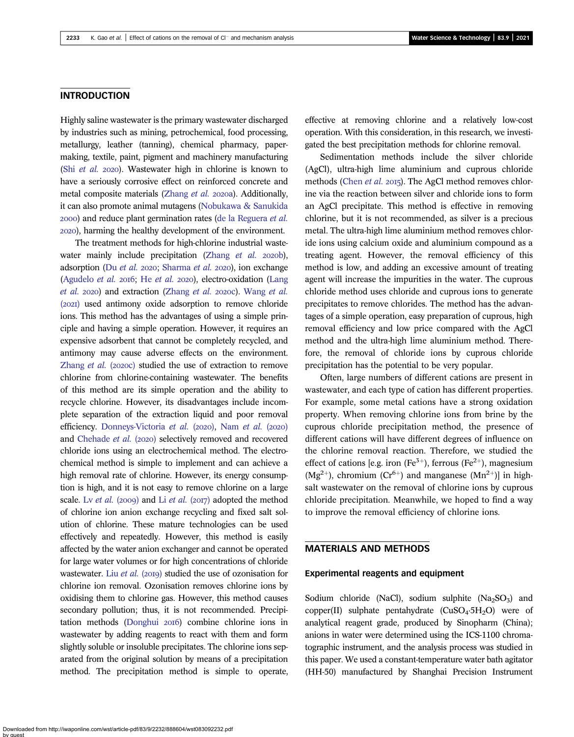### INTRODUCTION

Highly saline wastewater is the primary wastewater discharged by industries such as mining, petrochemical, food processing, metallurgy, leather (tanning), chemical pharmacy, papermaking, textile, paint, pigment and machinery manufacturing (Shi [et al.](#page-9-0)  $2020$ ). Wastewater high in chlorine is known to have a seriously corrosive effect on reinforced concrete and metal composite materials [\(Zhang](#page-9-0) et al. 2020a). Additionally, it can also promote animal mutagens [\(Nobukawa & Sanukida](#page-9-0) ) and reduce plant germination rates ([de la Reguera](#page-8-0) et al. ), harming the healthy development of the environment.

The treatment methods for high-chlorine industrial waste-water mainly include precipitation [\(Zhang](#page-9-0)  $et$   $al.$  2020b), adsorption (Du [et al.](#page-8-0) 2020; [Sharma](#page-9-0) et al. 2020), ion exchange [\(Agudelo](#page-8-0) *[et al.](#page-8-0)* 2016; He *et al.* 2020), electro-oxidation [\(Lang](#page-8-0) [et al.](#page-8-0)  $2020$ ) and extraction ([Zhang](#page-9-0) et al.  $2020c$ ). [Wang](#page-9-0) et al. (2021) used antimony oxide adsorption to remove chloride ions. This method has the advantages of using a simple principle and having a simple operation. However, it requires an expensive adsorbent that cannot be completely recycled, and antimony may cause adverse effects on the environment. [Zhang](#page-9-0)  $et$  al. (2020c) studied the use of extraction to remove chlorine from chlorine-containing wastewater. The benefits of this method are its simple operation and the ability to recycle chlorine. However, its disadvantages include incomplete separation of the extraction liquid and poor removal efficiency. [Donneys-Victoria](#page-8-0) [et al.](#page-8-0) (2020), Nam et al. (2020) and [Chehade](#page-8-0) et al. (2020) selectively removed and recovered chloride ions using an electrochemical method. The electrochemical method is simple to implement and can achieve a high removal rate of chlorine. However, its energy consumption is high, and it is not easy to remove chlorine on a large scale. Lv [et al.](#page-8-0) (2009) and Li et al. (2017) adopted the method of chlorine ion anion exchange recycling and fixed salt solution of chlorine. These mature technologies can be used effectively and repeatedly. However, this method is easily affected by the water anion exchanger and cannot be operated for large water volumes or for high concentrations of chloride wastewater. Liu [et al.](#page-8-0) (2019) studied the use of ozonisation for chlorine ion removal. Ozonisation removes chlorine ions by oxidising them to chlorine gas. However, this method causes secondary pollution; thus, it is not recommended. Precipi-tation methods [\(Donghui](#page-8-0) 2016) combine chlorine ions in wastewater by adding reagents to react with them and form slightly soluble or insoluble precipitates. The chlorine ions separated from the original solution by means of a precipitation method. The precipitation method is simple to operate,

effective at removing chlorine and a relatively low-cost operation. With this consideration, in this research, we investigated the best precipitation methods for chlorine removal.

Sedimentation methods include the silver chloride (AgCl), ultra-high lime aluminium and cuprous chloride methods ([Chen](#page-8-0) et al. 2015). The AgCl method removes chlorine via the reaction between silver and chloride ions to form an AgCl precipitate. This method is effective in removing chlorine, but it is not recommended, as silver is a precious metal. The ultra-high lime aluminium method removes chloride ions using calcium oxide and aluminium compound as a treating agent. However, the removal efficiency of this method is low, and adding an excessive amount of treating agent will increase the impurities in the water. The cuprous chloride method uses chloride and cuprous ions to generate precipitates to remove chlorides. The method has the advantages of a simple operation, easy preparation of cuprous, high removal efficiency and low price compared with the AgCl method and the ultra-high lime aluminium method. Therefore, the removal of chloride ions by cuprous chloride precipitation has the potential to be very popular.

Often, large numbers of different cations are present in wastewater, and each type of cation has different properties. For example, some metal cations have a strong oxidation property. When removing chlorine ions from brine by the cuprous chloride precipitation method, the presence of different cations will have different degrees of influence on the chlorine removal reaction. Therefore, we studied the effect of cations [e.g. iron (Fe<sup>3+</sup>), ferrous (Fe<sup>2+</sup>), magnesium  $(Mg^{2+})$ , chromium  $(Cr^{6+})$  and manganese  $(Mn^{2+})$ ] in highsalt wastewater on the removal of chlorine ions by cuprous chloride precipitation. Meanwhile, we hoped to find a way to improve the removal efficiency of chlorine ions.

### MATERIALS AND METHODS

#### Experimental reagents and equipment

Sodium chloride (NaCl), sodium sulphite  $(Na_2SO_3)$  and copper(II) sulphate pentahydrate  $(CuSO<sub>4</sub>·5H<sub>2</sub>O)$  were of analytical reagent grade, produced by Sinopharm (China); anions in water were determined using the ICS-1100 chromatographic instrument, and the analysis process was studied in this paper. We used a constant-temperature water bath agitator (HH-50) manufactured by Shanghai Precision Instrument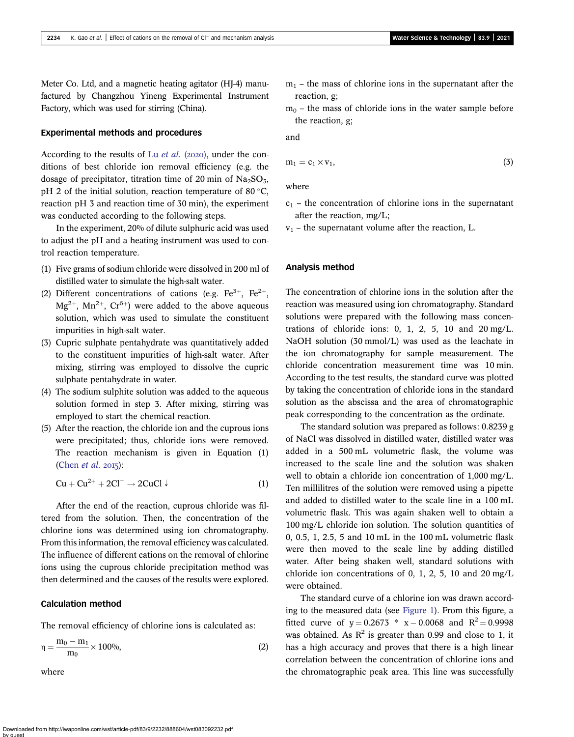Meter Co. Ltd, and a magnetic heating agitator (HJ-4) manufactured by Changzhou Yineng Experimental Instrument Factory, which was used for stirring (China).

#### Experimental methods and procedures

According to the results of Lu [et al.](#page-8-0) (2020), under the conditions of best chloride ion removal efficiency (e.g. the dosage of precipitator, titration time of 20 min of  $Na<sub>2</sub>SO<sub>3</sub>$ , pH 2 of the initial solution, reaction temperature of 80 $\degree$ C. reaction pH 3 and reaction time of 30 min), the experiment was conducted according to the following steps.

In the experiment, 20% of dilute sulphuric acid was used to adjust the pH and a heating instrument was used to control reaction temperature.

- (1) Five grams of sodium chloride were dissolved in 200 ml of distilled water to simulate the high-salt water.
- (2) Different concentrations of cations (e.g.  $\text{Fe}^{3+}$ ,  $\text{Fe}^{2+}$ ,  $Mg^{2+}$ ,  $Mn^{2+}$ ,  $Cr^{6+}$ ) were added to the above aqueous solution, which was used to simulate the constituent impurities in high-salt water.
- (3) Cupric sulphate pentahydrate was quantitatively added to the constituent impurities of high-salt water. After mixing, stirring was employed to dissolve the cupric sulphate pentahydrate in water.
- (4) The sodium sulphite solution was added to the aqueous solution formed in step 3. After mixing, stirring was employed to start the chemical reaction.
- (5) After the reaction, the chloride ion and the cuprous ions were precipitated; thus, chloride ions were removed. The reaction mechanism is given in Equation (1) [\(Chen](#page-8-0) *et al.* 2015):

$$
Cu + Cu^{2+} + 2Cl^{-} \rightarrow 2CuCl \downarrow
$$
 (1)

After the end of the reaction, cuprous chloride was filtered from the solution. Then, the concentration of the chlorine ions was determined using ion chromatography. From this information, the removal efficiency was calculated. The influence of different cations on the removal of chlorine ions using the cuprous chloride precipitation method was then determined and the causes of the results were explored.

#### Calculation method

The removal efficiency of chlorine ions is calculated as:

$$
\eta = \frac{m_0 - m_1}{m_0} \times 100\%,\tag{2}
$$

where

- $m_1$  the mass of chlorine ions in the supernatant after the reaction, g;
- $m_0$  the mass of chloride ions in the water sample before the reaction, g;

and

$$
m_1 = c_1 \times v_1, \tag{3}
$$

where

- $c_1$  the concentration of chlorine ions in the supernatant after the reaction, mg/L;
- $v_1$  the supernatant volume after the reaction, L.

#### Analysis method

The concentration of chlorine ions in the solution after the reaction was measured using ion chromatography. Standard solutions were prepared with the following mass concentrations of chloride ions:  $0, 1, 2, 5, 10$  and  $20 \text{ mg/L}$ . NaOH solution (30 mmol/L) was used as the leachate in the ion chromatography for sample measurement. The chloride concentration measurement time was 10 min. According to the test results, the standard curve was plotted by taking the concentration of chloride ions in the standard solution as the abscissa and the area of chromatographic peak corresponding to the concentration as the ordinate.

The standard solution was prepared as follows: 0.8239 g of NaCl was dissolved in distilled water, distilled water was added in a 500 mL volumetric flask, the volume was increased to the scale line and the solution was shaken well to obtain a chloride ion concentration of 1,000 mg/L. Ten millilitres of the solution were removed using a pipette and added to distilled water to the scale line in a 100 mL volumetric flask. This was again shaken well to obtain a 100 mg/L chloride ion solution. The solution quantities of 0, 0.5, 1, 2.5, 5 and 10 mL in the 100 mL volumetric flask were then moved to the scale line by adding distilled water. After being shaken well, standard solutions with chloride ion concentrations of 0, 1, 2, 5, 10 and 20 mg/L were obtained.

The standard curve of a chlorine ion was drawn according to the measured data (see [Figure 1](#page-3-0)). From this figure, a fitted curve of  $y = 0.2673 * x - 0.0068$  and  $R^2 = 0.9998$ was obtained. As  $R^2$  is greater than 0.99 and close to 1, it has a high accuracy and proves that there is a high linear correlation between the concentration of chlorine ions and the chromatographic peak area. This line was successfully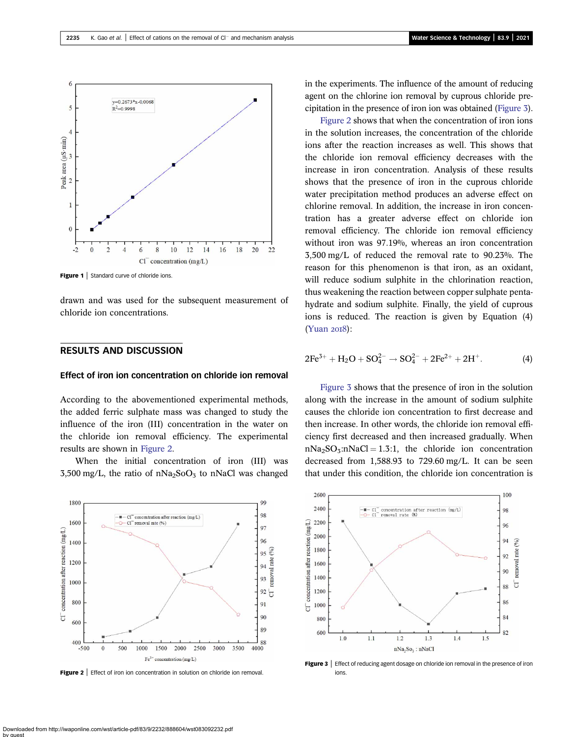<span id="page-3-0"></span>

**Figure 1** Standard curve of chloride ions.

drawn and was used for the subsequent measurement of chloride ion concentrations.

# RESULTS AND DISCUSSION

#### Effect of iron ion concentration on chloride ion removal

According to the abovementioned experimental methods, the added ferric sulphate mass was changed to study the influence of the iron (III) concentration in the water on the chloride ion removal efficiency. The experimental results are shown in Figure 2.

When the initial concentration of iron (III) was 3,500 mg/L, the ratio of nNa<sub>2</sub>SoO<sub>3</sub> to nNaCl was changed



Figure 2 | Effect of iron ion concentration in solution on chloride ion removal.

in the experiments. The influence of the amount of reducing agent on the chlorine ion removal by cuprous chloride precipitation in the presence of iron ion was obtained (Figure 3).

Figure 2 shows that when the concentration of iron ions in the solution increases, the concentration of the chloride ions after the reaction increases as well. This shows that the chloride ion removal efficiency decreases with the increase in iron concentration. Analysis of these results shows that the presence of iron in the cuprous chloride water precipitation method produces an adverse effect on chlorine removal. In addition, the increase in iron concentration has a greater adverse effect on chloride ion removal efficiency. The chloride ion removal efficiency without iron was 97.19%, whereas an iron concentration 3,500 mg/L of reduced the removal rate to 90.23%. The reason for this phenomenon is that iron, as an oxidant, will reduce sodium sulphite in the chlorination reaction, thus weakening the reaction between copper sulphate pentahydrate and sodium sulphite. Finally, the yield of cuprous ions is reduced. The reaction is given by Equation (4)  $(Yuan 20I8)$  $(Yuan 20I8)$ :

$$
2Fe^{3+} + H_2O + SO_4^{2-} \to SO_4^{2-} + 2Fe^{2+} + 2H^+.
$$
 (4)

Figure 3 shows that the presence of iron in the solution along with the increase in the amount of sodium sulphite causes the chloride ion concentration to first decrease and then increase. In other words, the chloride ion removal efficiency first decreased and then increased gradually. When  $nNa<sub>2</sub>SO<sub>3</sub>:nNaCl = 1.3:1$ , the chloride ion concentration decreased from 1,588.93 to 729.60 mg/L. It can be seen that under this condition, the chloride ion concentration is



Figure 3 | Effect of reducing agent dosage on chloride ion removal in the presence of iron ions.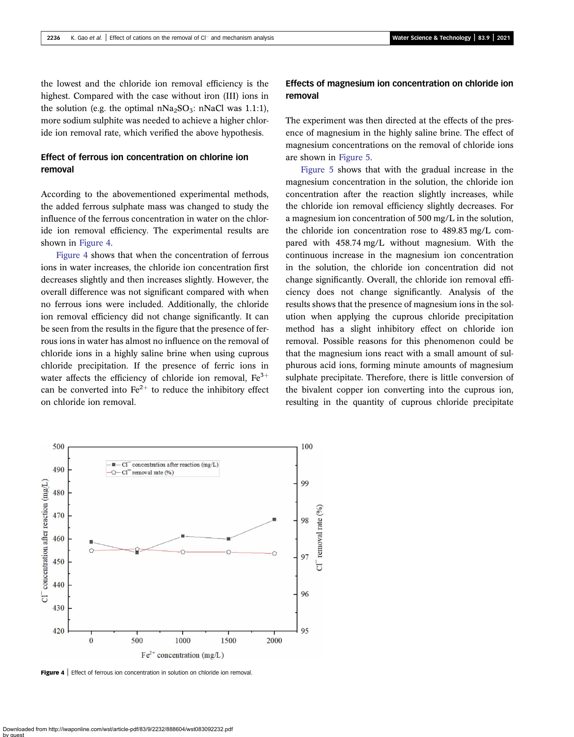the lowest and the chloride ion removal efficiency is the highest. Compared with the case without iron (III) ions in the solution (e.g. the optimal  $nNa<sub>2</sub>SO<sub>3</sub>$ : nNaCl was 1.1:1), more sodium sulphite was needed to achieve a higher chloride ion removal rate, which verified the above hypothesis.

# Effect of ferrous ion concentration on chlorine ion removal

According to the abovementioned experimental methods, the added ferrous sulphate mass was changed to study the influence of the ferrous concentration in water on the chloride ion removal efficiency. The experimental results are shown in Figure 4.

Figure 4 shows that when the concentration of ferrous ions in water increases, the chloride ion concentration first decreases slightly and then increases slightly. However, the overall difference was not significant compared with when no ferrous ions were included. Additionally, the chloride ion removal efficiency did not change significantly. It can be seen from the results in the figure that the presence of ferrous ions in water has almost no influence on the removal of chloride ions in a highly saline brine when using cuprous chloride precipitation. If the presence of ferric ions in water affects the efficiency of chloride ion removal,  $Fe<sup>3+</sup>$ can be converted into  $Fe^{2+}$  to reduce the inhibitory effect on chloride ion removal.

# Effects of magnesium ion concentration on chloride ion removal

The experiment was then directed at the effects of the presence of magnesium in the highly saline brine. The effect of magnesium concentrations on the removal of chloride ions are shown in [Figure 5](#page-5-0).

[Figure 5](#page-5-0) shows that with the gradual increase in the magnesium concentration in the solution, the chloride ion concentration after the reaction slightly increases, while the chloride ion removal efficiency slightly decreases. For a magnesium ion concentration of 500 mg/L in the solution, the chloride ion concentration rose to 489.83 mg/L compared with 458.74 mg/L without magnesium. With the continuous increase in the magnesium ion concentration in the solution, the chloride ion concentration did not change significantly. Overall, the chloride ion removal efficiency does not change significantly. Analysis of the results shows that the presence of magnesium ions in the solution when applying the cuprous chloride precipitation method has a slight inhibitory effect on chloride ion removal. Possible reasons for this phenomenon could be that the magnesium ions react with a small amount of sulphurous acid ions, forming minute amounts of magnesium sulphate precipitate. Therefore, there is little conversion of the bivalent copper ion converting into the cuprous ion, resulting in the quantity of cuprous chloride precipitate



Figure 4 | Effect of ferrous ion concentration in solution on chloride ion removal.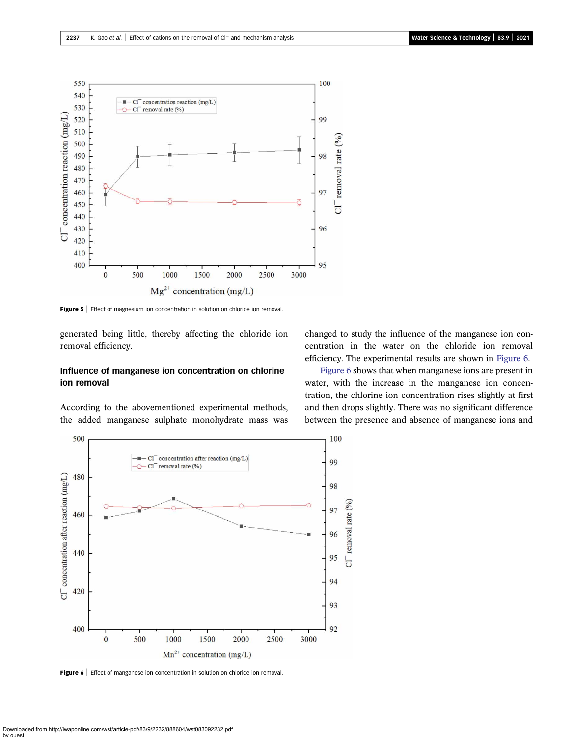<span id="page-5-0"></span>

Figure 5 | Effect of magnesium ion concentration in solution on chloride ion removal.

generated being little, thereby affecting the chloride ion removal efficiency.

### Influence of manganese ion concentration on chlorine ion removal

According to the abovementioned experimental methods, the added manganese sulphate monohydrate mass was



Figure 6 | Effect of manganese ion concentration in solution on chloride ion removal.

changed to study the influence of the manganese ion concentration in the water on the chloride ion removal efficiency. The experimental results are shown in Figure 6.

Figure 6 shows that when manganese ions are present in water, with the increase in the manganese ion concentration, the chlorine ion concentration rises slightly at first and then drops slightly. There was no significant difference between the presence and absence of manganese ions and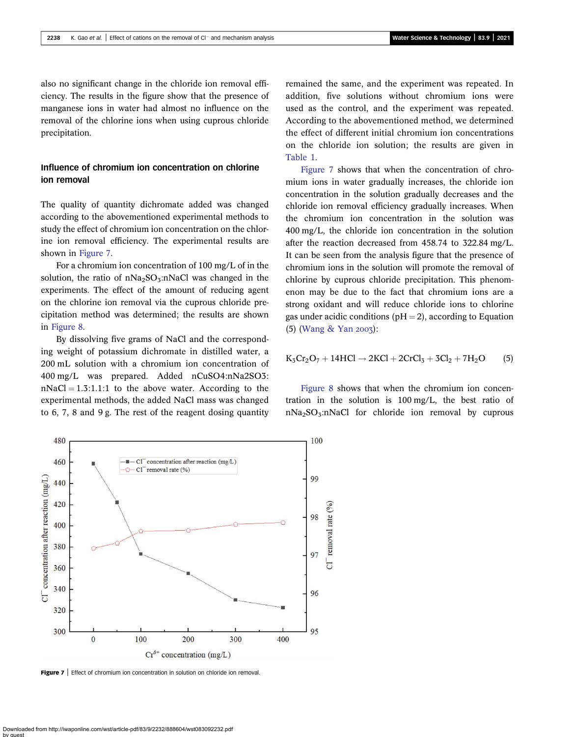also no significant change in the chloride ion removal efficiency. The results in the figure show that the presence of manganese ions in water had almost no influence on the removal of the chlorine ions when using cuprous chloride precipitation.

# Influence of chromium ion concentration on chlorine ion removal

The quality of quantity dichromate added was changed according to the abovementioned experimental methods to study the effect of chromium ion concentration on the chlorine ion removal efficiency. The experimental results are shown in Figure 7.

For a chromium ion concentration of 100 mg/L of in the solution, the ratio of  $nNa<sub>2</sub>SO<sub>3</sub>:nNaCl$  was changed in the experiments. The effect of the amount of reducing agent on the chlorine ion removal via the cuprous chloride precipitation method was determined; the results are shown in [Figure 8.](#page-7-0)

By dissolving five grams of NaCl and the corresponding weight of potassium dichromate in distilled water, a 200 mL solution with a chromium ion concentration of 400 mg/L was prepared. Added nCuSO4:nNa2SO3:  $nNaCl = 1.3:1.1:1$  to the above water. According to the experimental methods, the added NaCl mass was changed to 6, 7, 8 and 9 g. The rest of the reagent dosing quantity remained the same, and the experiment was repeated. In addition, five solutions without chromium ions were used as the control, and the experiment was repeated. According to the abovementioned method, we determined the effect of different initial chromium ion concentrations on the chloride ion solution; the results are given in [Table 1.](#page-7-0)

Figure 7 shows that when the concentration of chromium ions in water gradually increases, the chloride ion concentration in the solution gradually decreases and the chloride ion removal efficiency gradually increases. When the chromium ion concentration in the solution was 400 mg/L, the chloride ion concentration in the solution after the reaction decreased from 458.74 to 322.84 mg/L. It can be seen from the analysis figure that the presence of chromium ions in the solution will promote the removal of chlorine by cuprous chloride precipitation. This phenomenon may be due to the fact that chromium ions are a strong oxidant and will reduce chloride ions to chlorine gas under acidic conditions ( $pH = 2$ ), according to Equation  $(5)$  ([Wang & Yan](#page-9-0) 2003):

$$
K_3Cr_2O_7+14HCl\rightarrow 2KCl+2CrCl_3+3Cl_2+7H_2O \qquad (5)
$$

[Figure 8](#page-7-0) shows that when the chromium ion concentration in the solution is 100 mg/L, the best ratio of  $nNa<sub>2</sub>SO<sub>3</sub>:nNaCl$  for chloride ion removal by cuprous



Figure 7 | Effect of chromium ion concentration in solution on chloride ion removal.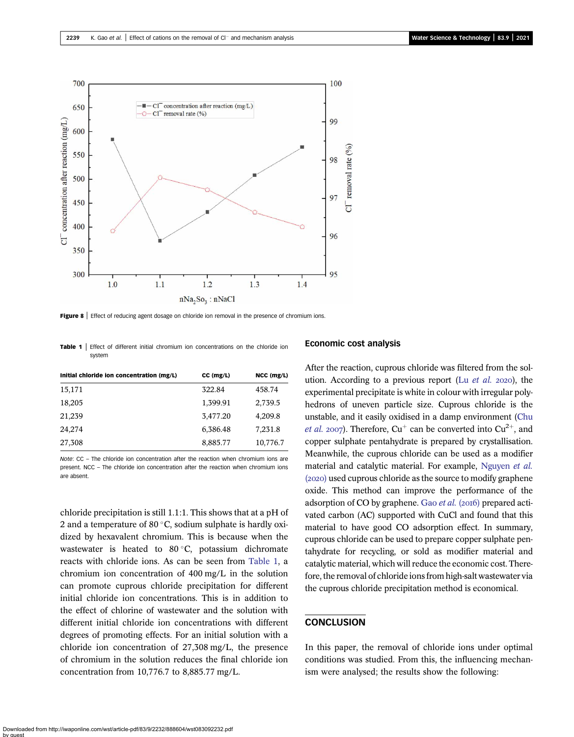<span id="page-7-0"></span>

Figure 8 | Effect of reducing agent dosage on chloride ion removal in the presence of chromium ions.

**Table 1** Effect of different initial chromium ion concentrations on the chloride ion system

| Initial chloride ion concentration (mg/L) | $CC$ (mg/L) | NCC (mg/L) |
|-------------------------------------------|-------------|------------|
| 15,171                                    | 322.84      | 458.74     |
| 18,205                                    | 1,399.91    | 2,739.5    |
| 21,239                                    | 3,477.20    | 4,209.8    |
| 24,274                                    | 6,386.48    | 7,231.8    |
| 27,308                                    | 8,885.77    | 10,776.7   |

Note: CC – The chloride ion concentration after the reaction when chromium ions are present. NCC – The chloride ion concentration after the reaction when chromium ions are absent.

chloride precipitation is still 1.1:1. This shows that at a pH of 2 and a temperature of 80 $\degree$ C, sodium sulphate is hardly oxidized by hexavalent chromium. This is because when the wastewater is heated to 80 °C, potassium dichromate reacts with chloride ions. As can be seen from Table 1, a chromium ion concentration of 400 mg/L in the solution can promote cuprous chloride precipitation for different initial chloride ion concentrations. This is in addition to the effect of chlorine of wastewater and the solution with different initial chloride ion concentrations with different degrees of promoting effects. For an initial solution with a chloride ion concentration of 27,308 mg/L, the presence of chromium in the solution reduces the final chloride ion concentration from 10,776.7 to 8,885.77 mg/L.

#### Economic cost analysis

After the reaction, cuprous chloride was filtered from the solution. According to a previous report (Lu  $et$  al. 2020), the experimental precipitate is white in colour with irregular polyhedrons of uneven particle size. Cuprous chloride is the unstable, and it easily oxidised in a damp environment [\(Chu](#page-8-0) *[et al.](#page-8-0)* 2007). Therefore,  $Cu^+$  can be converted into  $Cu^{2+}$ , and copper sulphate pentahydrate is prepared by crystallisation. Meanwhile, the cuprous chloride can be used as a modifier material and catalytic material. For example, [Nguyen](#page-9-0) et al.  $(2020)$  used cuprous chloride as the source to modify graphene oxide. This method can improve the performance of the adsorption of CO by graphene. Gao *[et al.](#page-8-0)* (2016) prepared activated carbon (AC) supported with CuCl and found that this material to have good CO adsorption effect. In summary, cuprous chloride can be used to prepare copper sulphate pentahydrate for recycling, or sold as modifier material and catalytic material, which will reduce the economic cost. Therefore, the removal of chloride ions from high-salt wastewater via the cuprous chloride precipitation method is economical.

### **CONCLUSION**

In this paper, the removal of chloride ions under optimal conditions was studied. From this, the influencing mechanism were analysed; the results show the following: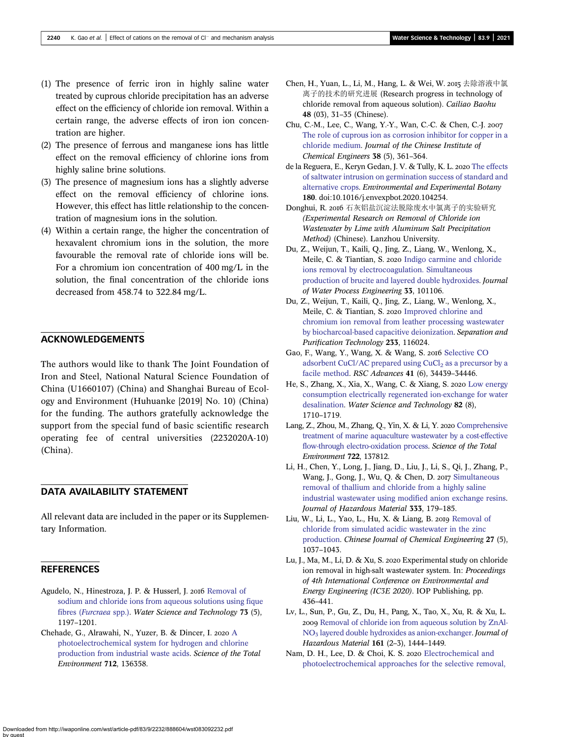- <span id="page-8-0"></span>(1) The presence of ferric iron in highly saline water treated by cuprous chloride precipitation has an adverse effect on the efficiency of chloride ion removal. Within a certain range, the adverse effects of iron ion concentration are higher.
- (2) The presence of ferrous and manganese ions has little effect on the removal efficiency of chlorine ions from highly saline brine solutions.
- (3) The presence of magnesium ions has a slightly adverse effect on the removal efficiency of chlorine ions. However, this effect has little relationship to the concentration of magnesium ions in the solution.
- (4) Within a certain range, the higher the concentration of hexavalent chromium ions in the solution, the more favourable the removal rate of chloride ions will be. For a chromium ion concentration of 400 mg/L in the solution, the final concentration of the chloride ions decreased from 458.74 to 322.84 mg/L.

### ACKNOWLEDGEMENTS

The authors would like to thank The Joint Foundation of Iron and Steel, National Natural Science Foundation of China (U1660107) (China) and Shanghai Bureau of Ecology and Environment (Huhuanke [2019] No. 10) (China) for the funding. The authors gratefully acknowledge the support from the special fund of basic scientific research operating fee of central universities (2232020A-10) (China).

# DATA AVAILABILITY STATEMENT

All relevant data are included in the paper or its Supplementary Information.

### **REFERENCES**

- Agudelo, N., Hinestroza, J. P. & Husserl, J. 2016 [Removal of](http://dx.doi.org/10.2166/wst.2015.593) [sodium and chloride ions from aqueous solutions using fique](http://dx.doi.org/10.2166/wst.2015.593) fibres ([Furcraea](http://dx.doi.org/10.2166/wst.2015.593) spp.). Water Science and Technology 73 (5), 1197–1201.
- Chehade, G., [A](http://dx.doi.org/10.1016/j.scitotenv.2019.136358)lrawahi, N., Yuzer, B. & Dincer, I. 2020 A [photoelectrochemical system for hydrogen and chlorine](http://dx.doi.org/10.1016/j.scitotenv.2019.136358) [production from industrial waste acids](http://dx.doi.org/10.1016/j.scitotenv.2019.136358). Science of the Total Environment 712, 136358.
- Chen, H., Yuan, L., Li, M., Hang, L. & Wei, W. 2015 去除溶液中氯 离子的技术的研究进展 (Research progress in technology of chloride removal from aqueous solution). Cailiao Baohu 48 (03), 31–35 (Chinese).
- Chu, C.-M., Lee, C., Wang, Y.-Y., Wan, C.-C. & Chen, C.-J. [The role of cuprous ion as corrosion inhibitor for copper in a](http://dx.doi.org/10.1016/j.jcice.2007.09.001) [chloride medium](http://dx.doi.org/10.1016/j.jcice.2007.09.001). Journal of the Chinese Institute of Chemical Engineers 38 (5), 361–364.
- de la Reguera, E., Keryn Gedan, J. V. & Tully, K. L. 2020 [The effects](http://dx.doi.org/10.1016/j.envexpbot.2020.104254) [of saltwater intrusion on germination success of standard and](http://dx.doi.org/10.1016/j.envexpbot.2020.104254) [alternative crops](http://dx.doi.org/10.1016/j.envexpbot.2020.104254). Environmental and Experimental Botany 180. doi:10.1016/j.envexpbot.2020.104254.
- Donghui, R. 2016 石灰铝盐沉淀法脱除废水中氯离子的实验研究 (Experimental Research on Removal of Chloride ion Wastewater by Lime with Aluminum Salt Precipitation Method) (Chinese). Lanzhou University.
- Du, Z., Weijun, T., Kaili, Q., Jing, Z., Liang, W., Wenlong, X., Meile, C. & Tiantian, S. 2020 [Indigo carmine and chloride](http://dx.doi.org/10.1016/j.jwpe.2019.101106) [ions removal by electrocoagulation. Simultaneous](http://dx.doi.org/10.1016/j.jwpe.2019.101106) [production of brucite and layered double hydroxides.](http://dx.doi.org/10.1016/j.jwpe.2019.101106) Journal of Water Process Engineering 33, 101106.
- Du, Z., Weijun, T., Kaili, Q., Jing, Z., Liang, W., Wenlong, X., Meile, C. & Tiantian, S. 2020 [Improved chlorine and](http://dx.doi.org/10.1016/j.seppur.2019.116024) [chromium ion removal from leather processing wastewater](http://dx.doi.org/10.1016/j.seppur.2019.116024) [by biocharcoal-based capacitive deionization.](http://dx.doi.org/10.1016/j.seppur.2019.116024) Separation and Purification Technology 233, 116024.
- Gao, F., Wang, Y., Wang, X. & Wang, S. 2016 [Selective CO](http://dx.doi.org/10.1039/C6RA03116A) adsorbent CuCl/AC prepared using  $CuCl<sub>2</sub>$  [as a precursor by a](http://dx.doi.org/10.1039/C6RA03116A) [facile method.](http://dx.doi.org/10.1039/C6RA03116A) RSC Advances 41 (6), 34439–34446.
- He, S., Zhang, X., Xia, X., Wang, C. & Xiang, S. 2020 [Low energy](http://dx.doi.org/10.2166/wst.2020.442) [consumption electrically regenerated ion-exchange for water](http://dx.doi.org/10.2166/wst.2020.442) [desalination](http://dx.doi.org/10.2166/wst.2020.442). Water Science and Technology 82 (8), 1710–1719.
- Lang, Z., Zhou, M., Zhang, Q., Yin, X. & Li, Y. 2020 [Comprehensive](http://dx.doi.org/10.1016/j.scitotenv.2020.137812) [treatment of marine aquaculture wastewater by a cost-effective](http://dx.doi.org/10.1016/j.scitotenv.2020.137812) [flow-through electro-oxidation process.](http://dx.doi.org/10.1016/j.scitotenv.2020.137812) Science of the Total Environment 722, 137812.
- Li, H., Chen, Y., Long, J., Jiang, D., Liu, J., Li, S., Qi, J., Zhang, P., Wang, J., Gong, J., Wu, Q. & Chen, D. 2017 [Simultaneous](http://dx.doi.org/10.1016/j.jhazmat.2017.03.020) [removal of thallium and chloride from a highly saline](http://dx.doi.org/10.1016/j.jhazmat.2017.03.020) [industrial wastewater using modified anion exchange resins](http://dx.doi.org/10.1016/j.jhazmat.2017.03.020). Journal of Hazardous Material 333, 179–185.
- Liu, W., Li, L., Yao, L., Hu, X. & Liang, B. 2019 [Removal of](http://dx.doi.org/10.1016/j.cjche.2018.06.025) [chloride from simulated acidic wastewater in the zinc](http://dx.doi.org/10.1016/j.cjche.2018.06.025) [production.](http://dx.doi.org/10.1016/j.cjche.2018.06.025) Chinese Journal of Chemical Engineering 27 (5), 1037–1043.
- Lu, J., Ma, M., Li, D. & Xu, S. 2020 Experimental study on chloride ion removal in high-salt wastewater system. In: Proceedings of 4th International Conference on Environmental and Energy Engineering (IC3E 2020). IOP Publishing, pp. 436–441.
- Lv, L., Sun, P., Gu, Z., Du, H., Pang, X., Tao, X., Xu, R. & Xu, L. 2009 [Removal of chloride ion from aqueous solution by ZnAl-](http://dx.doi.org/10.1016/j.jhazmat.2008.04.114) $NO<sub>3</sub>$  [layered double hydroxides as anion-exchanger.](http://dx.doi.org/10.1016/j.jhazmat.2008.04.114) Journal of Hazardous Material 161 (2–3), 1444–1449.
- Nam, D. H., Lee, D. & Choi, K. S. 2020 [Electrochemical and](http://dx.doi.org/10.1016/j.cej.2020.126378) [photoelectrochemical approaches for the selective removal,](http://dx.doi.org/10.1016/j.cej.2020.126378)